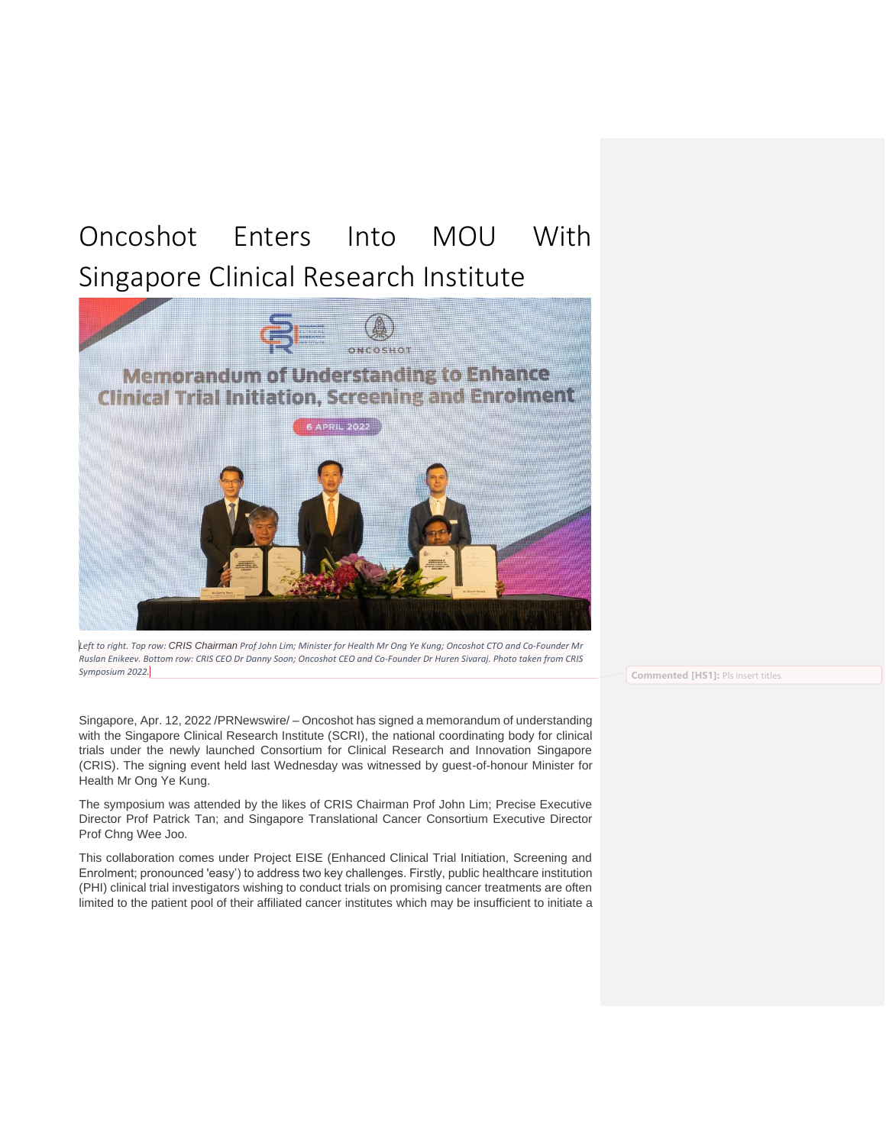## Oncoshot Enters Into MOU With Singapore Clinical Research Institute



*Left to right. Top row: CRIS Chairman Prof John Lim; Minister for Health Mr Ong Ye Kung; Oncoshot CTO and Co-Founder Mr Ruslan Enikeev. Bottom row: CRIS CEO Dr Danny Soon; Oncoshot CEO and Co-Founder Dr Huren Sivaraj. Photo taken from CRIS Symposium 2022.*

Singapore, Apr. 12, 2022 /PRNewswire/ – Oncoshot has signed a memorandum of understanding with the Singapore Clinical Research Institute (SCRI), the national coordinating body for clinical trials under the newly launched Consortium for Clinical Research and Innovation Singapore (CRIS). The signing event held last Wednesday was witnessed by guest-of-honour Minister for Health Mr Ong Ye Kung.

The symposium was attended by the likes of CRIS Chairman Prof John Lim; Precise Executive Director Prof Patrick Tan; and Singapore Translational Cancer Consortium Executive Director Prof Chng Wee Joo.

This collaboration comes under Project EISE (Enhanced Clinical Trial Initiation, Screening and Enrolment; pronounced 'easy') to address two key challenges. Firstly, public healthcare institution (PHI) clinical trial investigators wishing to conduct trials on promising cancer treatments are often limited to the patient pool of their affiliated cancer institutes which may be insufficient to initiate a

**Commented [HS1]:** Pls insert titles.